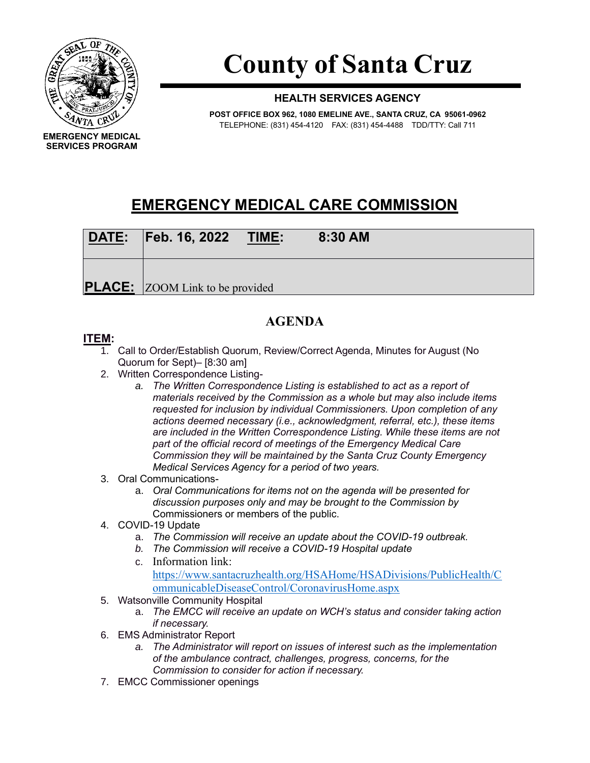

# **County of Santa Cruz**

### **HEALTH SERVICES AGENCY**

**POST OFFICE BOX 962, 1080 EMELINE AVE., SANTA CRUZ, CA 95061-0962** TELEPHONE: (831) 454-4120 FAX: (831) 454-4488 TDD/TTY: Call 711

## **EMERGENCY MEDICAL CARE COMMISSION**

| DATE: Feb. 16, 2022                    | <u>TIME:</u> | 8:30 AM |  |
|----------------------------------------|--------------|---------|--|
| <b>PLACE:</b> ZOOM Link to be provided |              |         |  |

## **AGENDA**

#### **ITEM:**

- 1. Call to Order/Establish Quorum, Review/Correct Agenda, Minutes for August (No Quorum for Sept)– [8:30 am]
- 2. Written Correspondence Listing
	- *a. The Written Correspondence Listing is established to act as a report of materials received by the Commission as a whole but may also include items requested for inclusion by individual Commissioners. Upon completion of any actions deemed necessary (i.e., acknowledgment, referral, etc.), these items are included in the Written Correspondence Listing. While these items are not part of the official record of meetings of the Emergency Medical Care Commission they will be maintained by the Santa Cruz County Emergency Medical Services Agency for a period of two years.*
- 3. Oral Communications
	- a. *Oral Communications for items not on the agenda will be presented for discussion purposes only and may be brought to the Commission by*  Commissioners or members of the public.
- 4. COVID-19 Update
	- a. *The Commission will receive an update about the COVID-19 outbreak.*
	- *b. The Commission will receive a COVID-19 Hospital update*
	- c. Information link: [https://www.santacruzhealth.org/HSAHome/HSADivisions/PublicHealth/C](https://www.santacruzhealth.org/HSAHome/HSADivisions/PublicHealth/CommunicableDiseaseControl/CoronavirusHome.aspx) [ommunicableDiseaseControl/CoronavirusHome.aspx](https://www.santacruzhealth.org/HSAHome/HSADivisions/PublicHealth/CommunicableDiseaseControl/CoronavirusHome.aspx)
- 5. Watsonville Community Hospital
	- a. *The EMCC will receive an update on WCH's status and consider taking action if necessary.*
- 6. EMS Administrator Report
	- *a. The Administrator will report on issues of interest such as the implementation of the ambulance contract, challenges, progress, concerns, for the Commission to consider for action if necessary.*
- 7. EMCC Commissioner openings